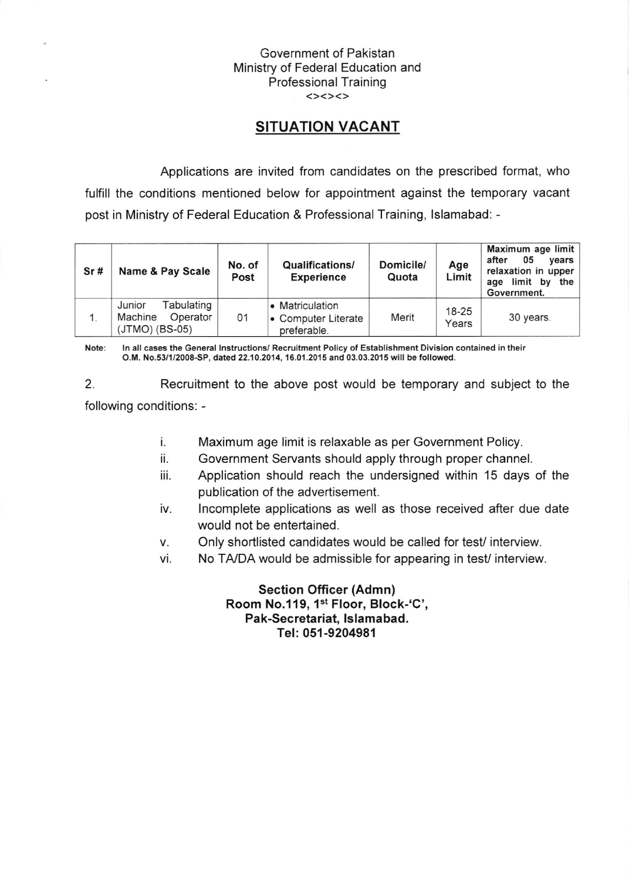## Government of Pakistan Ministry of Federal Education and Professional Training

## SITUATION VACANT

Applications are invited from candidates on the prescribed format, who fulfill the conditions mentioned below for appointment against the temporary vacant post in Ministry of Federal Education & Professional Training, lslamabad: -

| Sr# | Name & Pay Scale                                                | No. of<br>Post | <b>Qualifications/</b><br><b>Experience</b>           | Domicile/<br>Quota | Age<br>Limit       | Maximum age limit<br>05<br>after<br>vears  <br>relaxation in upper<br>limit by<br>the<br>age<br>Government. |
|-----|-----------------------------------------------------------------|----------------|-------------------------------------------------------|--------------------|--------------------|-------------------------------------------------------------------------------------------------------------|
|     | Tabulating<br>Junior<br>Operator<br>Machine<br>$(JTMO)$ (BS-05) | 01             | • Matriculation<br>• Computer Literate<br>preferable. | Merit              | $18 - 25$<br>Years | 30 years.                                                                                                   |

Note: ln all cases the General lnstructions/ Recruitment Policy of Establishment Division contained in their O.M. No.53/1/2008-SP, dated 22.10.2014, 16.01.2015 and 03.03.2015 will be followed.

2. Recruitment to the above post would be temporary and subject to the following conditions: -

- t. Maximum age limit is relaxable as per Government Policy.
- ii. Government Servants should apply through proper channel.
- iii. Application should reach the undersigned within 15 days of the publication of the advertisement.
- iv. lncomplete applications as well as those received after due date would not be entertained.
- Only shortlisted candidates would be called for test/interview. V.
- vi. No TA/DA would be admissible for appearing in test/ interview.

Section Officer (Admn) Room No.119, 1st Floor, Block-'C', Pak-Secretariat, lslamabad. Tel: 051-9204981